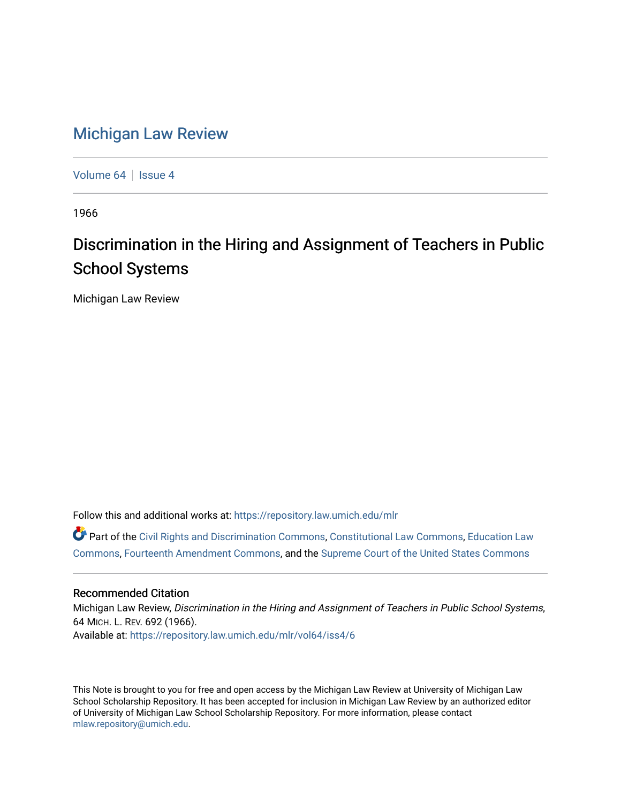## [Michigan Law Review](https://repository.law.umich.edu/mlr)

[Volume 64](https://repository.law.umich.edu/mlr/vol64) | [Issue 4](https://repository.law.umich.edu/mlr/vol64/iss4)

1966

# Discrimination in the Hiring and Assignment of Teachers in Public School Systems

Michigan Law Review

Follow this and additional works at: [https://repository.law.umich.edu/mlr](https://repository.law.umich.edu/mlr?utm_source=repository.law.umich.edu%2Fmlr%2Fvol64%2Fiss4%2F6&utm_medium=PDF&utm_campaign=PDFCoverPages) 

Part of the [Civil Rights and Discrimination Commons,](http://network.bepress.com/hgg/discipline/585?utm_source=repository.law.umich.edu%2Fmlr%2Fvol64%2Fiss4%2F6&utm_medium=PDF&utm_campaign=PDFCoverPages) [Constitutional Law Commons,](http://network.bepress.com/hgg/discipline/589?utm_source=repository.law.umich.edu%2Fmlr%2Fvol64%2Fiss4%2F6&utm_medium=PDF&utm_campaign=PDFCoverPages) [Education Law](http://network.bepress.com/hgg/discipline/596?utm_source=repository.law.umich.edu%2Fmlr%2Fvol64%2Fiss4%2F6&utm_medium=PDF&utm_campaign=PDFCoverPages) [Commons](http://network.bepress.com/hgg/discipline/596?utm_source=repository.law.umich.edu%2Fmlr%2Fvol64%2Fiss4%2F6&utm_medium=PDF&utm_campaign=PDFCoverPages), [Fourteenth Amendment Commons,](http://network.bepress.com/hgg/discipline/1116?utm_source=repository.law.umich.edu%2Fmlr%2Fvol64%2Fiss4%2F6&utm_medium=PDF&utm_campaign=PDFCoverPages) and the [Supreme Court of the United States Commons](http://network.bepress.com/hgg/discipline/1350?utm_source=repository.law.umich.edu%2Fmlr%2Fvol64%2Fiss4%2F6&utm_medium=PDF&utm_campaign=PDFCoverPages)

### Recommended Citation

Michigan Law Review, Discrimination in the Hiring and Assignment of Teachers in Public School Systems, 64 MICH. L. REV. 692 (1966). Available at: [https://repository.law.umich.edu/mlr/vol64/iss4/6](https://repository.law.umich.edu/mlr/vol64/iss4/6?utm_source=repository.law.umich.edu%2Fmlr%2Fvol64%2Fiss4%2F6&utm_medium=PDF&utm_campaign=PDFCoverPages)

This Note is brought to you for free and open access by the Michigan Law Review at University of Michigan Law School Scholarship Repository. It has been accepted for inclusion in Michigan Law Review by an authorized editor of University of Michigan Law School Scholarship Repository. For more information, please contact [mlaw.repository@umich.edu.](mailto:mlaw.repository@umich.edu)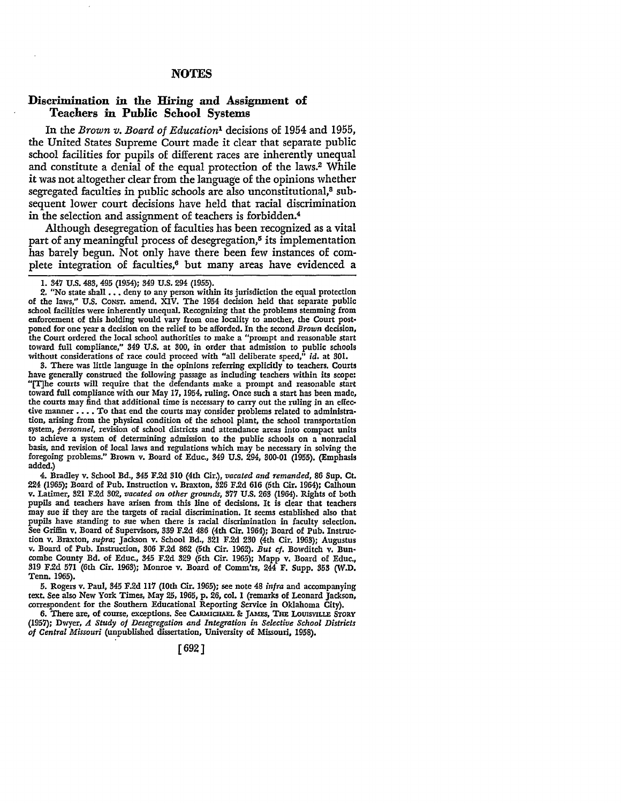#### **NOTES**

### **Discrimination** in **the Hiring and Assignment of Teachers** in **Public School Systems**

In the *Brown v. Board of Education1* decisions of 1954 and 1955, the United States Supreme Court made it clear that separate public school facilities for pupils of different races are inherently unequal and constitute a denial of the equal protection of the laws.2 While it was not altogether clear from the language of the opinions whether segregated faculties in public schools are also unconstitutional,<sup>8</sup> subsequent lower court decisions have held that racial discrimination in the selection and assignment of teachers is forbidden.<sup>4</sup>

Although desegregation of faculties has been recognized as a vital part of any meaningful process of desegregation, $\delta$  its implementation has barely begun. Not only have there been few instances of complete integration of faculties,<sup>6</sup> but many areas have evidenced a

2. "No state shall . . . deny to any person within its jurisdiction the equal protection of the laws," U.S. CONST. amend. XIV. The 1954 decision held that separate public school facilities were inherently unequal. Recognizing that the problems stemming from enforcement of this holding would vary from one locality to another, the Court postponed for one year a decision on the relief to be afforded. In the second *Brown* decision, the Court ordered the local school authorities to make a "prompt and reasonable start toward full compliance," 349 U.S. at 300, in order that admission to public schools without considerations of race could proceed with "all deliberate speed," *id.* at 301.

3. There was little language in the opinions referring explicitly to teachers. Courts have generally construed the following passage as including teachers within its scope: "[T]he courts will require that the defendants make a prompt and reasonable start toward full compliance with our May 17, 1954, ruling. Once such a start has been made, the courts may find that additional time is necessary to carry out the ruling in an effec• tive manner  $\dots$  To that end the courts may consider problems related to administration, arising from the physical condition of the school plant, the school transportation system, *personnel,* revision of school districts and attendance areas into compact units to achieve a system of determining admission to the public schools on a nonracial basis, and revision of local laws and regulations which may be necessary in solving the foregoing problems." Brown v. Board of Educ., 349 U.S. 294, 300-01 (1955). (Emphasis added.)

4. Bradley v. School Bd., 345 F.2d 310 (4th Cir.), *vacated and remanded,* 86 Sup. Ct. 224 (1965); Board of Pub. Instruction v. Braxton, 326 F.2d 616 (5th Cir. 1964); Calhoun v. Latimer, 321 F.2d 302, *vacated on other grounds,* 377 U.S. 263 (1964). Rights of both pupils and teachers have arisen from this line of decisions. It is clear that teachers may sue if they are the targets of racial discrimination. It seems established also that pupils have standing to sue when there is racial discrimination in faculty selection, See Griffin v. Board of Supervisors, 339 F.2d 486 (4th Cir. 1964); Board of Pub. Instruction v. Braxton, *supra;* Jackson v. School Bd., 321 F.2d 230 (4th Cir. 1963); Augustus v. Board of Pub. Instruction, 306 F.2d 862 (5th Cir. 1962). *But* cf. Bowditch v. Bun• combe County Bd. of Educ., 345 F.2d 329 (5th Cir. 1965); Mapp v. Board of Educ., 319 F.2d 571 (6th Cir. 1963); Monroe v. Board of Comm'rs, 244 F. Supp. 358 (W.D. Tenn. 1965).

5. Rogers v. Paul, 345 F.2d 117 (10th Cir. 1965); see note 48 *infra* and accompanying text. See also New York Times, May 25, 1965, p. 26, col. 1 (remarks of Leonard Jackson, correspondent for the Southern Educational Reporting Service in Oklahoma City).

6. There are, of course, exceptions. See CARMICHAEL & JAMES, THE LOUISVILLE STORY (1957); Dwyer, *A Study of Desegregation and Integration in Selective School Districts of Central Missouri* (unpublished dissertation, University of Missouri, 1958),

<sup>1.</sup> 347 U.S. 483, 495 (1954); 349 U.S. 294 (1955).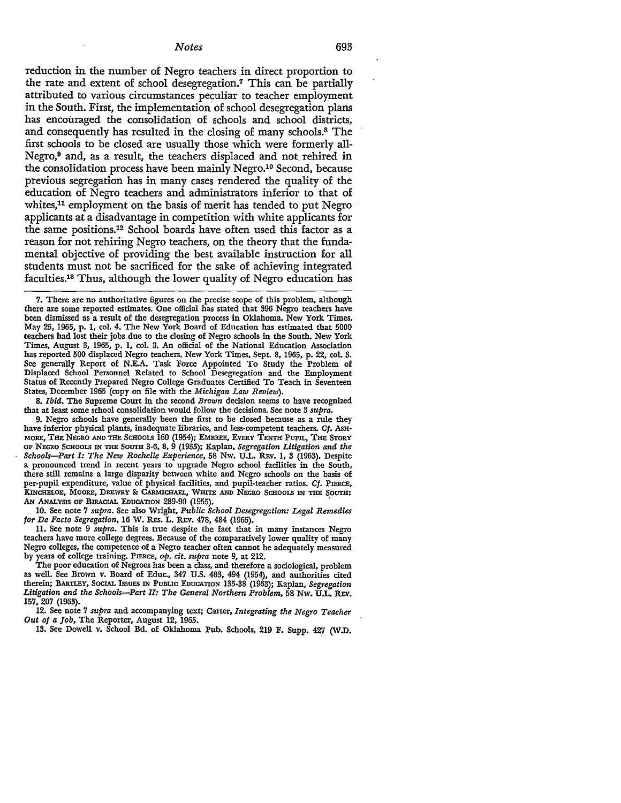reduction in the number of Negro teachers in direct proportion to the rate and extent of school desegregation.7 This can be partially attributed to various circumstances peculiar to teacher employment in the South. First, the implementation of school desegregation plans has encouraged the consolidation of schools and school districts, and consequently has resulted in the closing of many schools.8 The first schools to be closed are usually those which were formerly all-Negro,<sup>9</sup> and, as a result, the teachers displaced and not rehired in the consolidation process have been mainly Negro.10 Second, because previous segregation has in many cases rendered the quality of the education of Negro teachers and administrators inferior to that of whites,<sup>11</sup> employment on the basis of merit has tended to put Negro applicants at a disadvantage in competition with white applicants for the same positions.12 School boards have often used this factor as a reason for not rehiring Negro teachers, on the theory that the fundamental objective of providing the best available instruction for all students must not be sacrificed for the sake of achieving integrated faculties.13 Thus, although the lower quality of Negro education has

7. There are no authoritative figures on the precise scope of this problem, although there are some reported estimates. One official has stated that 396 Negro teachers have been dismissed as a result of the desegregation process in Oklahoma. New York Times, May 25, 1965, p. 1, col. 4. The New York Board of Education has estimated that 5000 teachers had lost their jobs due to the closing of Negro schools in the South. New York Times, August 3, 1965, p. 1, col. 3. An official of the National Education Association has reported 500 displaced Negro teachers. New York Times, Sept. 8, 1965, p. 22, col. 3. See generally Report of N.E.A. Task Force Appointed To Study the Problem of Displaced School Personnel Related to School Desegregation and the Employment Status of Recently Prepared Negro College Graduates Certified To Teach in Seventeen States, December 1965 (copy on file with the *Michigan Law Review).* 

8. *Ibid.* The Supreme Court in the second *Brown* decision seems to have recognized that at least some school consolidation would follow the decisions. See note 3 *supra.* 

9. Negro schools have generally been the first to be closed because as a rule they have inferior physical plants, inadequate libraries, and less-competent teachers. Cf. ASH-MORE, THE NEGRO AND THE SCHOOLS 160 (1954); EMBREE, EVERY TENTH PUPIL, THE STORY OF NEGRO SCHOOLS IN nm SotmI 3-6, 8, 9 (1935); Kaplan, *Segregation Litigation and the Schools-Part I: The New Rochelle Experience,* 58 Nw. U.L. REv. I, 3 (1963). Despite a pronounced trend in recent years to upgrade Negro school facilities in the South, there still remains a large disparity between white and Negro schools on the basis of per-pupil expenditure, value of physical facilities, and pupil-teacher ratios. Cf. PIERCE, KINCHELOE, MOORE, DREWRY & CARMICHAEL, WHITE AND NEGRO SCHOOLS IN THE SOUTH: AN ANALYSIS OF BIRACIAL EDUCATION 289-90 (1955).

10. See note 7 *supra.* See also Wright, *Public School Desegregation: Legal Remedies for De Facto Segregation,* 16 W. REs. L. REv. 478, 484 (1965).

11. See note 9 *supra.* This is true despite the faot that in many instances Negro teachers have more college degrees. Because of the comparatively lower quality of many Negro colleges, the competence of a Negro teacher often cannot be adequately measured by years of college training. PIERCE, *op. dt. supra* note 9, at 212.

The poor education of Negroes has been a class, and therefore a sociological, problem as well. See Brown v. Board of Educ., 347 U.S. 483, 494 (1954), and authorities cited therein; BARTLEY, SOCIAL ISSUES IN PUBLIC EDUCATION 135-38 (1963); Kaplan, *Segregation* Litigation and the Schools--Part II: The General Northern Problem, 58 Nw. U.L. REV. 157, 207 (1963).

12. See note 7 *supra* and accompanying text; Carter, *Integrating the Negro Teacher Out of a Job,* The Reporter, August 12, 1965.

13. See Dowell v. School Bd. of Oklahoma Pub. Schools, 219 F. Supp. 427 (W.D.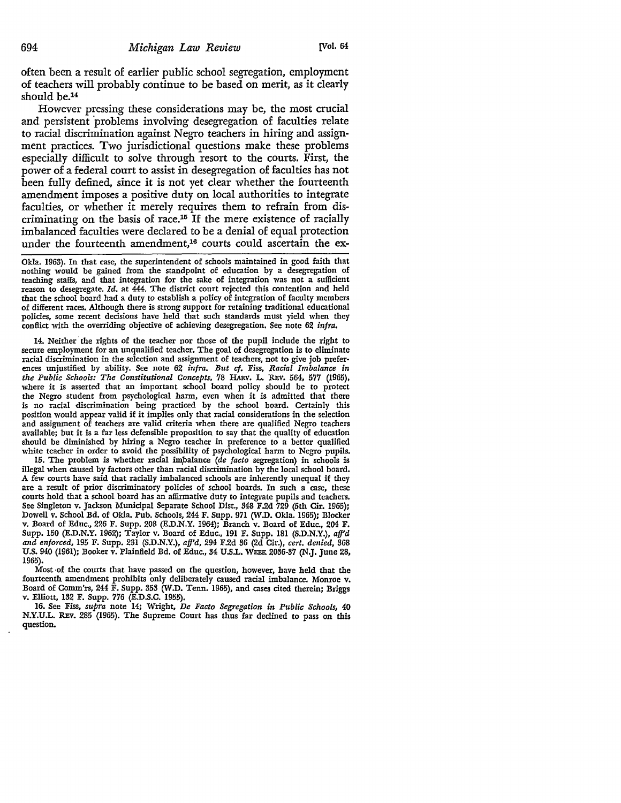often been a result of earlier public school segregation, employment of teachers will probably continue to be based on merit, as it clearly should be.14

However pressing these considerations may be, the most crucial and persistent problems involving desegregation of faculties relate to racial discrimination against Negro teachers in hiring and assignment practices. Two jurisdictional questions make these problems especially difficult to solve through resort to the courts. First, the power of a federal court to assist in desegregation of faculties has not been fully defined, since it is not yet clear whether the fourteenth amendment imposes a positive duty on local authorities to integrate faculties, or whether it merely requires them to refrain from discriminating on the basis of race.<sup>15</sup> If the mere existence of racially imbalanced faculties were declared to be a denial of equal protection under the fourteenth amendment,<sup>16</sup> courts could ascertain the ex-

Okla. 1963). In that case, the superintendent of schools maintained in good faith that nothing would be gained from the standpoint of education by a desegregation of teaching staffs, and that integration for the sake of integration was not a sufficient reason to desegregate. *Id.* at 444. The district court rejected this contention and held that the school board had a duty to establish a policy of integration of faculty members of different races. Although there is strong support for retaining traditional educational policies, some recent decisions have held that such standards must yield when they conflict with the overriding objective of achieving desegregation, See note 62 *infra.* 

14. Neither the rights of the teacher nor those of the pupil include the right to secure employment for an unqualified teacher. The goal of desegregation is to eliminate racial discrimination in the selection and assignment of teachers, not to give job preferences unjustified by ability. See note 62 *infra. But* cf. *Fiss, Racial Imbalance in the Public Schools: The Constitutional Concepts,* 78 HARv. L. REv. 564, 577 (1965), where it is asserted that an important school board policy should be to protect the Negro student from psychological harm, even when it is admitted that there is no racial discrimination being practiced by the school board. Certainly this position would appear valid if it implies only that racial considerations in the selection and assignment of teachers are valid criteria when there are qualified Negro teachers available; but it is a far less defensible proposition to say that the quality of education should be diminished by hiring a Negro teacher in preference to a better qualified white teacher in order to avoid the possibility of psychological harm to Negro pupils.

15. The problem is whether racial im,balance *(de facto* segregation) in schools :s illegal when caused by factors other than racial discrimination by the local school board. A few courts have said that racially imbalanced schools are inherently unequal if they are a result of prior discriminatory policies of school boards. In such a case, these courts hold that a school board has an affirmative duty to integrate pupils and teachers, See Singleton v. Jackson Municipal Separate School Dist., 348 F.2d 729 (5th Cir. 1965); Dowell v. School Bd. of Okla. Pub. Schools, 244 F. Supp. 971 (W.D. Okla. 1965): Blocker v. Board of Educ., 226 F. Supp. 208 (E.D.N.Y. 1964): Branch v. Board of Educ., 204 F. Supp. 150 (E.D.N.Y. 1962): Taylor v. Board of Educ., 191 F. Supp. 181 (S.D.N.Y.), *aff'd and enforced,* 195 F. Supp. 231 (S.D.N.Y.), *afj'd,* 294 F.2d 36 (2d Cir.), *cert. denied,* 368 U.S. 940 (1961); Booker v. Plainfield Bd. of Educ., 34 U.S.L, WEEK 2036-37 (N.J. June 28, 1965).

Most ·of the courts that have passed on the question, however, have held that the fourteenth amendment prohibits only deliberately caused racial imbalance. Monroe v. Board of Comm'rs, 244 F. Supp. 353 (W.D. Tenn. 1965), and cases cited therein; Briggs v. Elliott, 132 F. Supp. 776 (E.D.S.C. 1955).

16. See Fiss, *supra* note 14; Wright, *De Facto Segregation in Public Schools,* 40 N.Y.U.L. REv. 285 (1965). The Supreme Court has thus far declined to pass on this question.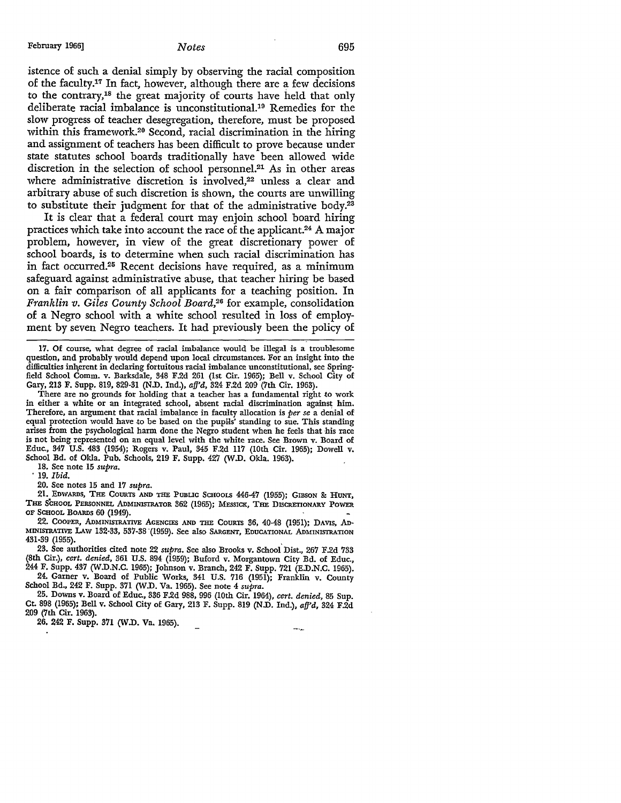istence of such a denial simply by observing the racial composition of the faculty.17 In fact, however, although there are a few decisions to the contrary,18 the great majority of courts have held that only deliberate racial imbalance is unconstitutional.19 Remedies for the slow progress of teacher desegregation, therefore, must be proposed within this framework.<sup>20</sup> Second, racial discrimination in the hiring and assignment of teachers has been difficult to prove because under state statutes school boards traditionally have been allowed wide discretion in the selection of school personnel.<sup>21</sup> As in other areas where administrative discretion is involved,<sup>22</sup> unless a clear and arbitrary abuse of such discretion is shown, the courts are unwilling to substitute their judgment for that of the administrative body.<sup>23</sup>

It is clear that a federal court may enjoin school board hiring practices which take into account the race of the applicant.24 A major problem, however, in view of the great discretionary power of school boards, is to determine when such racial discrimination has in fact occurred.26 Recent decisions have required, as a minimum safeguard against administrative abuse, that teacher hiring be based on a fair comparison of all applicants for a teaching position. In *Franklin v. Giles County School Board,26* for example, consolidation of a Negro school with a white school resulted in loss of employment by seven Negro teachers. It had previously been the policy of

17. Of course, what degree of racial imbalance would be illegal is a troublesome question, and probably would depend upon local circumstances. For an insight into the difficulties inherent in declaring fortuitous racial imbalance unconstitutional, see Springfield School Comm. v. Barksdale, 348 F.2d 261 (1st Cir. 1965); Bell v. School City of Gary, 213 F. Supp. 819, 829-31 (N.D. Ind.), *afj'd,* 324 F.2d 209 (7th Cir. 1963).

There are no grounds for holding that a teacher has a fundamental right to work in either a white or an integrated school, absent racial discrimination against him. Therefore, an argument that racial imbalance in faculty allocation is *per se* a denial of equal protection would have to be based on the pupils' standing to sue. This standing arises from the psychological harm done the Negro student when he feels that his race is not being represented on an equal level with the white race. See Brown v. Board of Educ., 347 U.S. 483 (1954); Rogers v. Paul, 345 F.2d 117 (10th Cir. 1965); Dowell v. School Bd. of Okla. Pub. Schools, 219 F. Supp. 427 *(W.D. Okla. 1963)*.

18. See note 15 *supra.* 

· 19. *Ibid.* 

20. See notes 15 and 17 *supra.* 

21. EDWARDS, THE COURTS AND THE PUBLIC SCHOOLS 446-47 (1955); GIBSON & HUNT, THE SCHOOL PERSONNEL ADMINISTRATOR 362 (1965); MESSICK, THE DISCRETIONARY POWER OF SCHOOL BOARDS 60 (1949).

22. COOPER, ADMINISTRATIVE AGENCIES AND THE COURTS 36, 40-48 (1951); DAVIS, AD-MINISTRATIVE LAW 132-33, 537-38 (1959). See also SARGENT, EDUCATIONAL ADMINISTRATION 431-39 (1955).

ill~~~ . 23. See authorities cited note 22 *supra.* See also Brooks v. School Dist., 267 F.2d 733 (8th Cir.), *cert. denied,* 361 U.S. 894 (1959); Buford v. Morgantown City Bd. of Educ., 244 F. Supp. 437 (YIV.D.N.C. 1965); Johnson v. Branch, 242 F. Supp. 721 (E.D.N.C. 1965). 24. Garner v. Board of Public Works, 341 U.S. 716 (1951); Franklin v. County

School Bd., 242 F. Supp. 371 *{Yl'v* .D. Va. 1965). See note 4 *supra.* 

25. Downs v. Board of Educ., 336 F.2d 988, 996 (10th Cir. 1964), *cert. denied,* 85 Sup. Ct. 898 (1965); Bell v. School City of Gary, 213 F. Supp. 819 (N.D. Ind.), *afj'd,* 324 F.2d 209 (7th Cir. 1963).

 $\sim$ 

26. 242 F. Supp. 371 *(W.D. Va. 1965)*.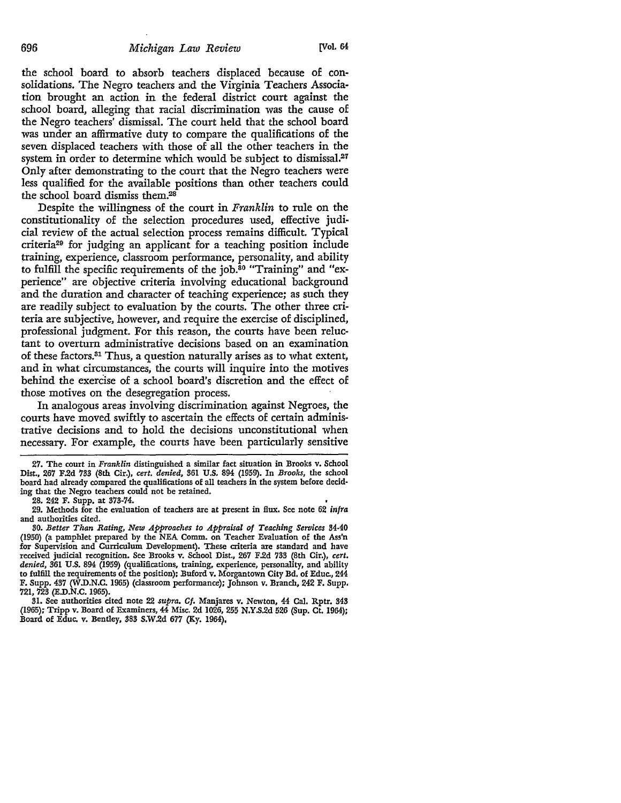the school board to absorb teachers displaced because of consolidations. The Negro teachers and the Virginia Teachers Association brought an action in the federal district court against the school board, alleging that racial discrimination was the cause of the Negro teachers' dismissal. The court held that the school board was under an affirmative duty to compare the qualifications of the seven displaced teachers with those of all the other teachers in the system in order to determine which would be subject to dismissal.<sup>27</sup> Only after demonstrating to the court that the Negro teachers were less qualified for the available positions than other teachers could the school board dismiss them.28

Despite the willingness of the court in *Franklin* to rule on the constitutionality of the selection procedures used, effective judicial review of the actual selection process remains difficult. Typical criteria29 for judging an applicant for a teaching position include training, experience, classroom performance, personality, and ability to fulfill the specific requirements of the job.<sup>80</sup> "Training" and "experience" are objective criteria involving educational background and the duration and character of teaching experience; as such they are readily subject to evaluation by the courts. The other three criteria are subjective, however, and require the exercise of disciplined, professional judgment. For this reason, the courts have been reluctant to overturn administrative decisions based on an examination of these factors.31 Thus, a question naturally arises as to what extent, and in what circumstances, the courts will inquire into the motives behind the exercise of a school board's discretion and the effect of those motives on the desegregation process.

In analogous areas involving discrimination against Negroes, the courts have moved swiftly to ascertain the effects of certain administrative decisions and to hold the decisions unconstitutional when necessary. For example, the courts have been particularly sensitive

<sup>27.</sup> The court in *Franklin* distinguished a similar fact situation in Brooks v. School Dist., 267 F.2d 733 (8th Cir.), *cert. denied,* 361 U.S. 894 (1959). In *Brooks,* the school board had already compared the qualifications of all teachers in the system before decid• ing that the Negro teachers could not be retained.

<sup>28. 242</sup> F. Supp. at 373-74.

<sup>29.</sup> Methods for the evaluation of teachers are at present in flux. See note 62 *infra*  and authorities cited.

<sup>30.</sup> *Better Than Rating, New Approaches to Appraisal of Teaching Services* 34-40 (1950) (a pamphlet prepared by the NEA Comm. on Teacher Evaluation of the Ass'n for Supervision and Curriculum Development). These criteria are standard and have received judicial recognition. See Brooks v. School Dist., 267 F.2d 733 (8th Cir.), *cert. denied,* 361 U.S. 894 (1959) (qualifications, training, experience, personality, and ability to fulfill the requirements of the position); Buford v. Morgantown City Bd. of Educ., 244 F. Supp. 437 (W.D.N.C. 1965) (classroom performance); Johnson v. Branch, 242 F. Supp, 721, 723 (E.D.N.C. 1965).

<sup>31.</sup> See authorities cited note 22 *supra. Cf.* Manjares v. Newton, 44 Cal. Rptr. 343 (1965); Tripp v. Board of Examiners, 44 Misc. 2d 1026, 255 N.Y.S.2d 526 (Sup. Ct. 1964); Board of Educ. v. Bentley, 383 S.W.2d 677 (Ky. 1964),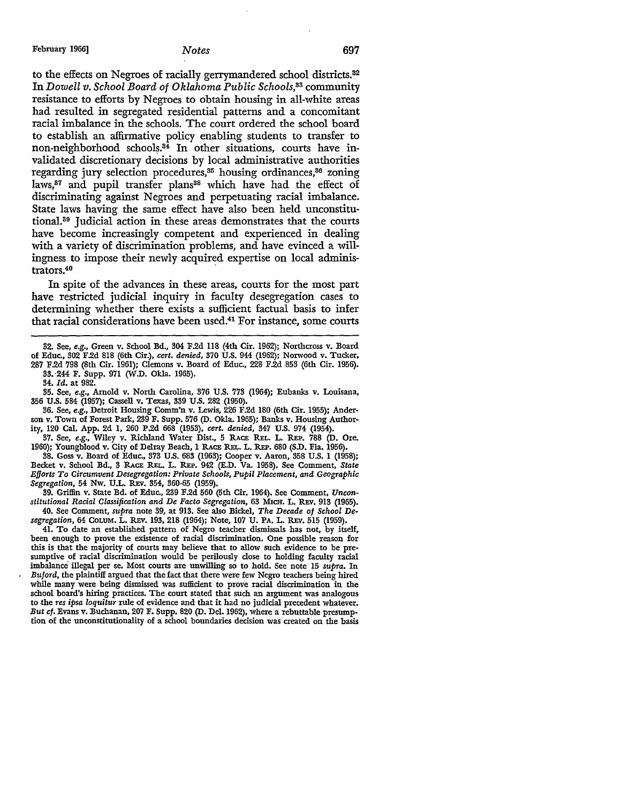February 1966] *Notes* 697

to the effects on Negroes of racially gerrymandered school districts.32 In *Dowell v. School Board of Oklahoma Public Schools,83* community resistance to efforts by Negroes to obtain housing in all-white areas had resulted in segregated residential patterns and a concomitant racial imbalance in the schools. The court ordered the school board to establish an affirmative policy enabling students to transfer to non-neighborhood schools.<sup>34</sup> In other situations, courts have invalidated discretionary decisions by local administrative authorities regarding jury selection procedures,<sup>35</sup> housing ordinances,<sup>36</sup> zoning laws,<sup>37</sup> and pupil transfer plans<sup>38</sup> which have had the effect of discriminating against Negroes and perpetuating racial imbalance. State laws having the same effect have also been held unconstitutional. 89 Judicial action in these areas demonstrates that the courts have become increasingly competent and experienced in dealing with a variety of discrimination problems, and have evinced a willingness to impose their newly acquired expertise on local administrators.<sup>40</sup>

In spite of the advances in these areas, courts for the most part have restricted judicial inquiry in faculty desegregation cases to determining whether there exists a sufficient factual basis to infer that racial considerations have been used.41 For instance, some courts

34. *Id.* at 982.

36. See, *e.g.,* Detroit Housing Comm'n v. Lewis, 226 F.2d 180 (6th Cir. 1955); Ander• son v. Town of Forest Park, 239 F. Supp. 576 (D. Okla. 1965); Banks v. Housing Author• ity, 120 Cal. App. 2d 1, 260 P .2d 668 (1953), *cert. denied,* 347 U.S. 974 (1954).

37. See, *e.g.,* Wiley v. Richland Water Dist., 5 RACE REL. L. REP. 788 (D. Ore. 1960); Youngblood v. City of Delray Beach, 1 RACE REL. L. REP. 680 (S.D. Fla. 1956).

38. Goss v. Board of Educ., 373 U.S. 683 (1963); Cooper v. Aaron, 358 U.S. 1 (1958); Becket v. School Bd., 3 RACE REL. L. REP. 942 (E.D. Va. 1958). See Comment, *State Efforts To Circumvent Desegregation: Private Schools, Pupil Placement, and Geographic Segregation,* 54 Nw. U.L. REv. 354, 360-65 (1959).

39. Griffin v. State Bd. of Educ., 239 F.2d 560 (5th Cir. 1964). See Comment, *Unconstitutional Racial Classification and De Facto Segregation,* 63 MICH. L. REv. 913 (1965). 40. See Comment, *supra* note 39, at 913. See also Bickel, *The Decade of School De• segregation,* 64 COLUM. L. REv. 193, 218 (1964); Note, 107 u. PA. L. REv. 515 (1959).

41. To date an established pattern of Negro teacher dismissals has not, by itself, been enough to prove the existence of racial discrimination. One possible reason for this is that the majority of courts may believe that to allow such evidence to be presumptive of racial discrimination would be perilously close to holding faculty racial imbalance illegal per se. Most courts are unwilling so to hold. See note 15 *supra.* In *Buford,* the plaintiff argued that the fact that there were few Negro teachers being hired while many were being dismissed was sufficient to prove racial discrimination in the school board's hiring practices. The court stated that such an argument was analogous to the *res ipsa loquitur* rule of evidence and that it had no judicial precedent whatever. *But cf.* Evans v. Buchanan, 207 F. Supp. 820 (D. Del. 1962), where a rebuttable presumption of the unconstitutionality of a school boundaries decision was created on the basis

<sup>32.</sup> See, *e.g.,* Green v. School Bd., 304 F.2d 118 (4th Cir. 1962); Northcross v. Board of Educ., 302 F.2d 818 (6th Cir.), *cert. denied,* 370 U.S. 944 (1962); Norwood v. Tucker, 287 F.2d 798 (8th Cir. 1961); Clemons v. Board of Educ., 228 F.2d 853 (6th Cir. 1956). 33.·244 F. Supp. 971 (W.D. Okla. 1965).

<sup>35.</sup> See, *e.g.,* Arnold v. North Carolina, 376 U.S. 773 (1964); Eubanks v. Louisana, 356 U.S. 584 (1957); Cassell v. Texas, 339 U.S. 282 (1950).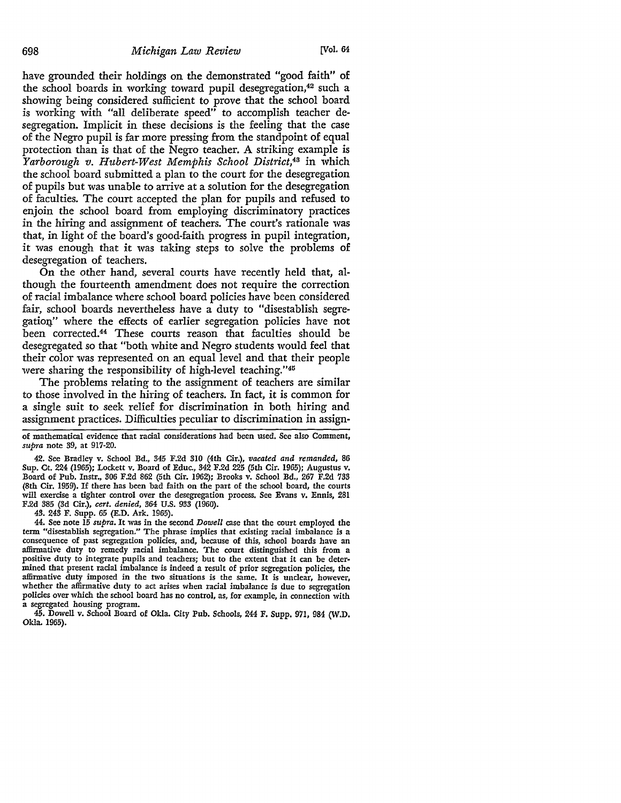have grounded their holdings on the demonstrated "good faith" of the school boards in working toward pupil desegregation,<sup>42</sup> such a showing being considered sufficient to prove that the school board is working with "all deliberate speed" to accomplish teacher desegregation. Implicit in these decisions is the feeling that the case of the Negro pupil is far more pressing from the standpoint of equal protection than is that of the Negro teacher. A striking example is *Yarborough v. Hubert-West Memphis School District,48* in which the school board submitted a plan to the court for the desegregation of pupils but was unable to arrive at a solution for the desegregation of faculties. The court accepted the plan for pupils and refused to enjoin the school board from employing discriminatory practices in the hiring and assignment of teachers. The court's rationale was that, in light of the board's good-faith progress in pupil integration, it was enough that it was taking steps to solve the problems of desegregation of teachers.

On the other hand, several courts have recently held that, although the fourteenth amendment does not require the correction of racial imbalance where school board policies have been considered fair, school boards nevertheless have a duty to "disestablish segregation" where the effects of earlier segregation policies have not been corrected.44 These courts reason that faculties should be desegregated so that "both white and Negro students would feel that their color was represented on an equal level and that their people were sharing the responsibility of high-level teaching."46

The problems relating to the assignment of teachers are similar to those involved in the hiring of teachers. In fact, it is common for a single suit to seek relief for discrimination in both hiring and assignment practices. Difficulties peculiar to discrimination in assign-

43. 243 F. Supp. 65 (E.D. Ark. 1965).

44. See note 15 *supra.* It was in the second *Dowell* case that the court employed the term "disestablish segregation." The phrase implies that existing racial imbalance is a consequence of past segregation policies, and, because of this, school boards have an affirmative duty to remedy racial imbalance. The court distinguished this from a positive duty to integrate pupils and teachers; but to the extent that it can be determined that present racial imbalance is indeed a result of prior segregation policies, the affirmative duty imposed in the two situations is the same. It is unclear, however, whether the affirmative duty to act arises when racial imbalance is due to segregation policies over which the school board has no control, as, for example, in connection with a segregated housing program.

45. Dowell v. School Board of Okla. City Pub. Schools, 244 F. Supp. 971, 984 (W.D. Okla. 1965).

of mathematical evidence that racial considerations had been used. See also Comment, *supra* note 39, at 917-20.

<sup>42.</sup> See Bradley v. School Bd., 345 F.2d 310 (4th Cir.), *vacated and remanded,* 86 Sup. Ot. 224 (1965); Lockett v. Board of Educ., 342 F.2d 225 (5th Cir. 1965); Augustus v. Board of Pub. Instr., 306 F.2d 862 (5th Cir. 1962); Brooks v. School Bd., 267 F.2d 733 (8th Cir. 1959). If there has been bad faith on the part of the school board, the courts will exercise a tighter control over the desegregation process. Sec Evans v. Ennis, 281 F.2d 385 (3d Cir.), *cert. denied,* 364 U.S. 933 (1960).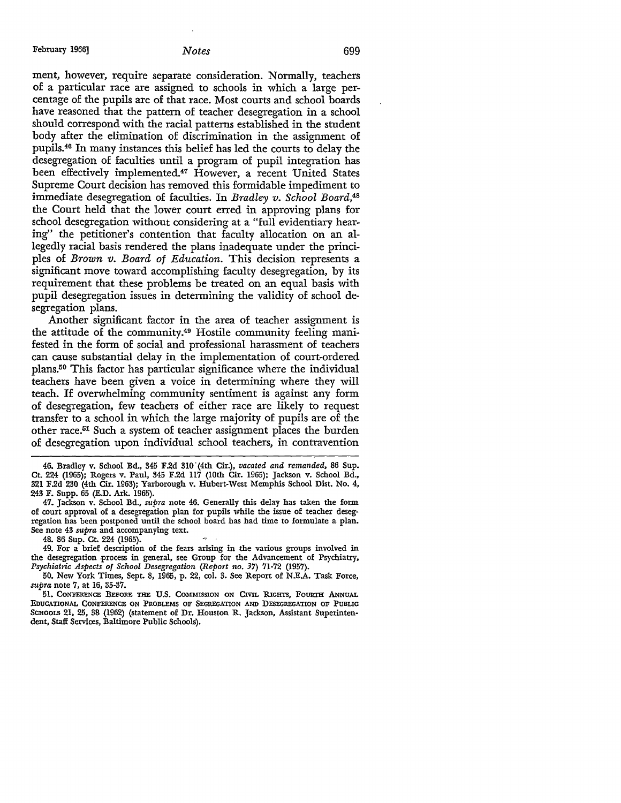ment, however, require separate consideration. Normally, teachers of a particular race are assigned to schools in which a large percentage of the pupils are of that race. Most courts and school boards have reasoned that the pattern of teacher desegregation in a school should correspond with the racial patterns established in the student body after the elimination of discrimination in the assignment of pupils.46 In many instances this belief has led the courts to delay the desegregation of faculties until a program of pupil integration has been effectively implemented.47 However, a recent United States Supreme Court decision has removed this formidable impediment to immediate desegregation of faculties. In *Bradley v. School Board,48*  the Court held that the lower court erred in approving plans for school desegregation without considering at a "full evidentiary hearing" the petitioner's contention that faculty allocation on an allegedly racial basis rendered the plans inadequate under the principles of *Brown v. Board of Education.* This decision represents a significant move toward accomplishing faculty desegregation, by its requirement that these problems be treated on an equal basis with pupil desegregation issues in determining the validity of school desegregation plans.

Another significant factor in the area of teacher assignment is the attitude of the community.49 Hostile community feeling manifested in the form of social and professional harassment of teachers can cause substantial delay in the implementation of court-ordered plans.50 This factor has particular significance where the individual teachers have been given a voice in determining where they will teach. If ovenvhelming community sentiment is against any form of desegregation, few teachers of either race are likely to request transfer to a school in which the large majority of pupils are of the other race.51 Such a system of teacher assignment places the burden of desegregation upon individual school teachers, in contravention

47. Jackson v. School Bd., *supra* note 46. Generally this delay has taken the form of court approval of a desegregation plan for pupils while the issue of teacher desegregation has been postponed until the school board has had time to formulate a plan. See note 43 *supra* and accompanying text.

48. 86 Sup. Ct. 224 (1965).

49. For a brief description of the fears arising in the various groups involved in the desegregation process in general, see Group for the Advancement of Psychiatry, *Psychiatric Aspects of School Desegregation (Report no. 37)* 71-72 (1957).

50. New York Times, Sept. 8, 1965, p. 22, col. 3. See Report of N.E.A. Task Force, *supra* note 7, at 16, 35-37.

51. CONFERENCE BEFORE THE U.S. COMMISSION ON CIVIL RIGHTS, FOURTH ANNUAL EDUCATIONAL CONFERENCE ON PROBLEMS OF SEGREGATION AND DESEGREGATION OF PUBLIC SCHOOLS 21, 25, 38 (1962) (statement of Dr. Houston R. Jackson, Assistant Superintendent, Staff Services, Baltimore Public Schools).

<sup>46.</sup> Bradley v. School Bd., 345 F.2d 310 · (4th Cir.), *vacated and remanded,* 86 Sup. Ct. 224 (1965); Rogers v. Paul, 345 F.2d 117 (10th Cir. 1965); Jackson v. School Bd., 321 F.2d 230 (4th Cir. 1963); Yarborough v. Hubert-West Memphis School Dist. No. 4, 243 F. Supp. 65 (E.D. Ark. 1965).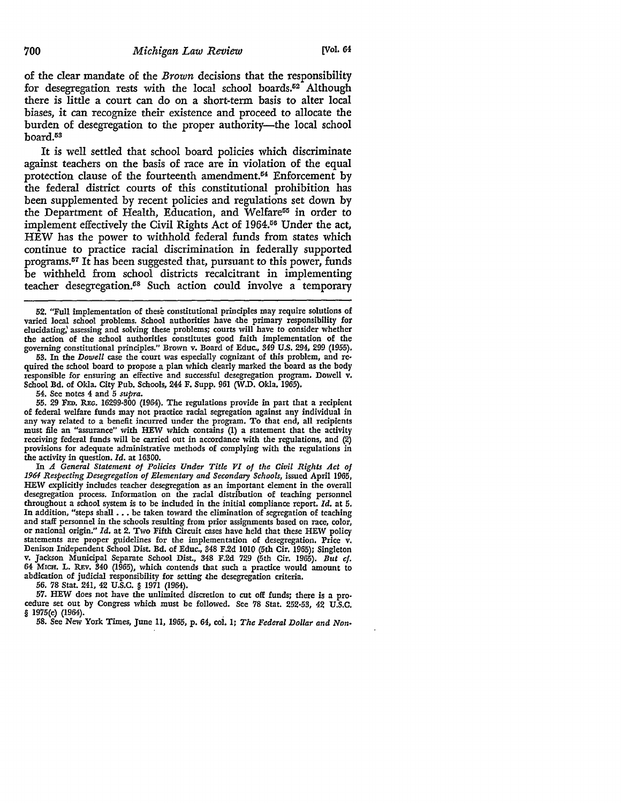of the clear mandate of the *Brown* decisions that the responsibility for desegregation rests with the local school boards.<sup>52</sup> Although there is little a court can do on a short-term basis to alter local biases, it can recognize their existence and proceed to allocate the burden of desegregation to the proper authority-the local school board.<sup>53</sup>

It is well settled that school board policies which discriminate against teachers on the basis of race are in violation of the equal protection clause of the fourteenth amendment.<sup>54</sup> Enforcement by the federal district courts of this constitutional prohibition has been supplemented by recent policies and regulations set down by the Department of Health, Education, and Welfare<sup>55</sup> in order to implement effectively the Civil Rights Act of 1964.<sup>56</sup> Under the act, HEW has the power to withhold federal funds from states which continue to practice racial discrimination in federally supported programs.61 It has been suggested that, pursuant to this power, funds be withheld from school districts recalcitrant in implementing teacher desegregation.<sup>58</sup> Such action could involve a temporary

52. "Full implementation of these constitutional principles may require solutions of varied local school problems. School authorities have the primary responsibility for elucidating; assessing and solving these problems; courts will have to consider whether the action of the school authorities constitutes good faith implementation of the governing constitutional principles." Brown v. Board of Educ., 349 U.S. 294, 299 (1955),

53. In the *Dowell* case the court was especially cognizant of this problem, and re• quired the school board to propose a plan which clearly marked the board as the body responsible for ensuring an effective and successful desegregation program. Dowell v. School Bd. of Okla. City Pub. Schools, 244 F. Supp. 961 (W.D. Okla. 1965).

54. See notes 4 and 5 *supra.* 

55. 29 FED. REG. 16299-300 (1964). The regulations provide in part that a recipient of federal welfare funds may not practice racial segregation against any individual in any way related to a benefit incurred under the program. To that end, all recipients must file an "assurance" with HEW which contains (1) a statement that the activity receiving federal funds will be carried out in accordance with the regulations, and (2) provisions for adequate administrative methods of complying with the regulations in the activity in question. *Id.* at 16300.

In *A General Statement* of *Policies Under Title YI* of *the Civil Rights Act* of *1961 Respecting Desegregation* of *Elementary and Secondary Schools,* issued April 1965, HEW explicitly includes teacher desegregation as an important element in the overall desegregation process. Information on the racial distribution of teaching personnel throughout a school system is to be included in the initial compliance report. *Id.* at 5. In addition, "steps shall . . . be taken toward the elimination of segregation of teaching and staff personnel in the schools resulting from prior assignments based on race, color, or national origin." *Id.* at 2. Two Fifth Circuit cases have held that these HEW policy statements are proper guidelines for the implementation of desegregation. Price v. Denison In'dependent School Dist. Bd. of Educ., 348 F.2d 1010 (5th Cir. 1965); Singleton v. Jackson Municipal Separate School Dist., 348 F.2d 729 (5th Cir. 1965). *But cf.*  64 MICH. L. REV. 340 (1965), which contends that such a practice would amount to abdication of judicial responsibility for setting the desegregation criteria.

56. 78 Stat. 241, 42 U.S.C. § 1971 (1964).

57. HEW does not have the unlimited discretion to cut off funds; there is a pro• cedure set out by Congress which must be followed. See 78 Stat. 252-53, 42 U.S.C. § 1975(e) (1964).

58. See New York Times, June 11, 1965, p. 64, col. l; *The Federal Dollar and Non-*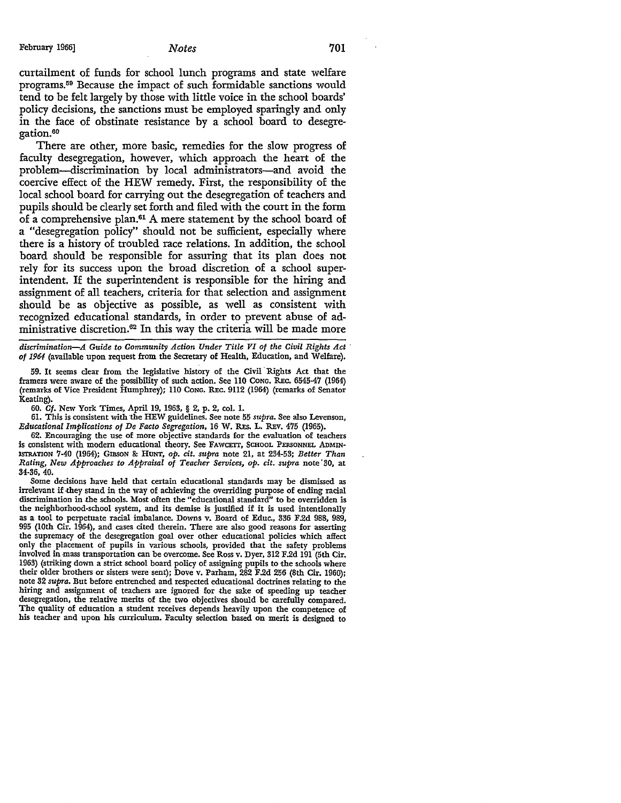curtailment of funds for school lunch programs and state welfare programs.59 Because the impact of such formidable sanctions would tend to be felt largely by those with little voice in the school boards' policy decisions, the sanctions must be employed sparingly and only in the face of obstinate resistance by a school board to desegregation.60

There are other, more basic, remedies for the slow progress of faculty desegregation, however, which approach the heart of the problem-discrimination by local administrators-and avoid the coercive effect of the HEW remedy. First, the responsibility of the local school board for carrying out the desegregation of teachers and pupils should be clearly set forth and filed with the court in the form of a comprehensive plan.61 A mere statement by the school board of a "desegregation policy" should not be sufficient, especially where there is a history of troubled race relations. In addition, the school board should be responsible for assuring that its plan does not rely for its success upon the broad discretion of a school superintendent. If the superintendent is responsible for the hiring and assignment of all teachers, criteria for that selection and assignment should be as objective as possible, as well as consistent with recognized educational standards, in order to prevent abuse of administrative discretion.<sup>62</sup> In this way the criteria will be made more

*discrimination-A Guide to Community Action Under Title VI of the Civil Rights Act* · *of 1964* (available upon request from the Secretary of Health, Education, and Welfare).

59. It seems clear from the legislative history of the Civil · Rights Act that the framers were aware of the possibility of such action. See 110 CONG. REc. 6545-47 (1964) (remarks of Vice President Humphrey); 110 CoNG. REc. 9112 (1964) (remarks of Senator Keating).

60. *Cf.* New York Times, April 19, 1963, § 2, p. 2, col. 1.

61. This is consistent with ·the HEW guidelines. See note 55 *supra.* See also Levenson, *Educational Implications of De Facto Segregation,* 16 W. REs. L. REv. 475 (1965).

62. Encouraging the use of more objective standards for the evaluation of teachers is consistent with modem educational theory. See FAWCETI, SCHOOL PERSONNEL ADMIN· IS"IRATION 7-40 (1964); GmsoN &: HUNT, *op. cit. supra* note 21, at 234-53; *Better Than Rating, New Approaches to Appraisal of Teacher Services, op. cit. supra* note' 30, at 34-36, 40.

Some decisions have held that certain educational standards may be dismissed as irrelevant if they stand in the way of achieving the overriding purpose of ending racial discrimination in the schools. Most often the "educational standard" to be overridden is the neighborhood-school system, and its demise is justified if it is used intentionally as a tool to perpetuate racial imbalance. Downs v. Board of Educ., 336 F.2d 988, 989, 995 (10th Cir. 1964), and cases cited therein. There are also good reasons for asserting the supremacy of the desegregation goal over other educational policies which affect only the placement of pupils in various schools, provided that the safety problems involved in mass transportation can be overcome. See Ross v. Dyer, 312 F.2d 191 (5th Cir. 1963) (striking down a strict school board policy of assigning pupils to the schools where their older brothers or sisters were sent); Dove v. Parham, 282 F.2d 256 (8th Cir. 1960); note 32 *supra.* But before entrenched and respected educational doctrines relating to the hiring and assignment of teachers are ignored for the sake of speeding up teacher desegregation, the relative merits of the two objectives should be carefully compared. The quality of education a student receives depends heavily upon the competence of his teacher and upon his curriculum. Faculty selection based on merit is designed to